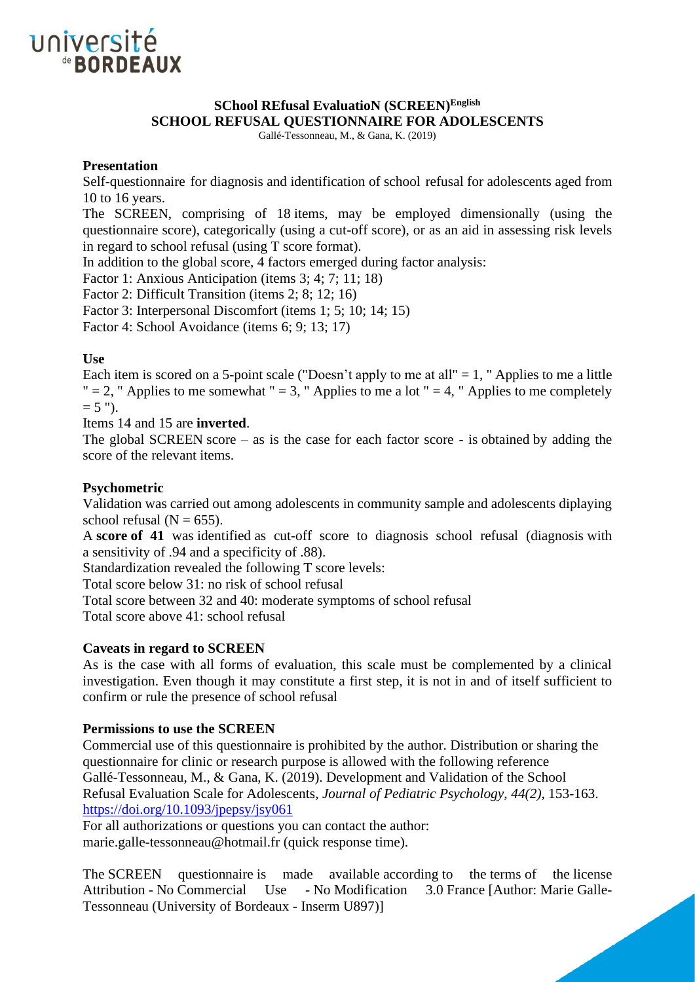

# **SChool REfusal EvaluatioN (SCREEN)English SCHOOL REFUSAL QUESTIONNAIRE FOR ADOLESCENTS**

Gallé-Tessonneau, M., & Gana, K. (2019)

## **Presentation**

Self-questionnaire for diagnosis and identification of school refusal for adolescents aged from 10 to 16 years.

The SCREEN, comprising of 18 items, may be employed dimensionally (using the questionnaire score), categorically (using a cut-off score), or as an aid in assessing risk levels in regard to school refusal (using T score format).

In addition to the global score, 4 factors emerged during factor analysis:

Factor 1: Anxious Anticipation (items 3; 4; 7; 11; 18)

Factor 2: Difficult Transition (items 2; 8; 12; 16)

Factor 3: Interpersonal Discomfort (items 1; 5; 10; 14; 15)

Factor 4: School Avoidance (items 6; 9; 13; 17)

### **Use**

Each item is scored on a 5-point scale ("Doesn't apply to me at all"  $= 1$ , " Applies to me a little " = 2, " Applies to me somewhat " = 3, " Applies to me a lot " = 4, " Applies to me completely  $= 5$  ").

Items 14 and 15 are **inverted**.

The global SCREEN score – as is the case for each factor score - is obtained by adding the score of the relevant items.

### **Psychometric**

Validation was carried out among adolescents in community sample and adolescents diplaying school refusal  $(N = 655)$ .

A **score of 41** was identified as cut-off score to diagnosis school refusal (diagnosis with a sensitivity of .94 and a specificity of .88).

Standardization revealed the following T score levels:

Total score below 31: no risk of school refusal

Total score between 32 and 40: moderate symptoms of school refusal

Total score above 41: school refusal

## **Caveats in regard to SCREEN**

As is the case with all forms of evaluation, this scale must be complemented by a clinical investigation. Even though it may constitute a first step, it is not in and of itself sufficient to confirm or rule the presence of school refusal

#### **Permissions to use the SCREEN**

Commercial use of this questionnaire is prohibited by the author. Distribution or sharing the questionnaire for clinic or research purpose is allowed with the following reference Gallé-Tessonneau, M., & Gana, K. (2019). Development and Validation of the School Refusal Evaluation Scale for Adolescents*, Journal of Pediatric Psychology*, *44(2),* 153-163. <https://doi.org/10.1093/jpepsy/jsy061>

For all authorizations or questions you can contact the author: marie.galle-tessonneau@hotmail.fr (quick response time).

The SCREEN questionnaire is made available according to the terms of the license Attribution - No Commercial Use - No Modification 3.0 France [Author: Marie Galle-Tessonneau (University of Bordeaux - Inserm U897)]